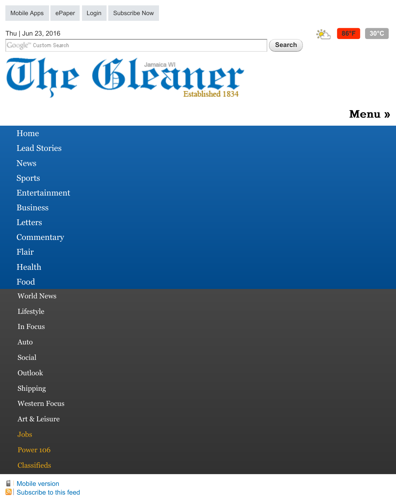Google" Custom Search

**Search**





## [Menu »](http://jamaica-gleaner.com/article/art-leisure/20160618/jcan-artist-stuns-beijing-art-enthusiasts#zone-menu)

| Home             |
|------------------|
| Lead Stories     |
| <b>News</b>      |
| <b>Sports</b>    |
| Entertainment    |
| <b>Business</b>  |
| Letters          |
| Commentary       |
| Flair            |
| Health           |
| Food             |
| World News       |
| Lifestyle        |
| In Focus         |
| Auto             |
| Social           |
| Outlook          |
| Shipping         |
| Western Focus    |
| Art & Leisure    |
| Jobs             |
| <b>Power 106</b> |
| Classifieds      |

**[Mobile version](http://jamaica-gleaner.com/rd/low?destination=node/612382) [Subscribe to this feed](http://jamaica-gleaner.com/gleaner/rss.html)**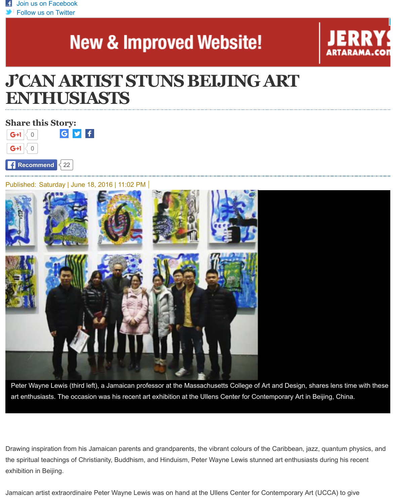# **New & Improved Website!**



# **J'CAN ARTIST STUNS BEIJING ART ENTHUSIASTS**

**Share this Story:**  $G \times$ 0  $G+1$ 

 $G+1$  $\overline{O}$ 

**Recommend** 22

Published: Saturday | June 18, 2016 | 11:02 PM



Peter Wayne Lewis (third left), a Jamaican professor at the Massachusetts College of Art and Design, shares lens time with these art enthusiasts. The occasion was his recent art exhibition at the Ullens Center for Contemporary Art in Beijing, China.

Drawing inspiration from his Jamaican parents and grandparents, the vibrant colours of the Caribbean, jazz, quantum physics, and the spiritual teachings of Christianity, Buddhism, and Hinduism, Peter Wayne Lewis stunned art enthusiasts during his recent exhibition in Beijing.

Jamaican artist extraordinaire Peter Wayne Lewis was on hand at the Ullens Center for Contemporary Art (UCCA) to give